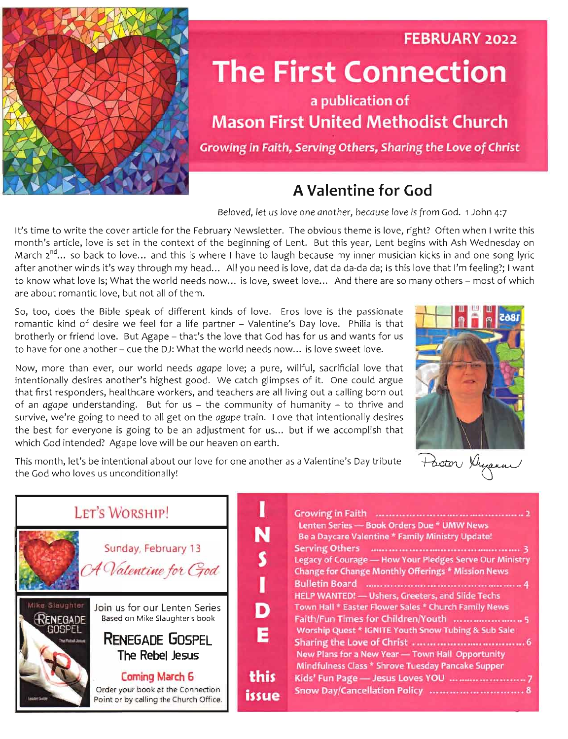

# **The First Connection**

#### a publication of **Mason First United Methodist Church**

Growing in Faith, Serving Others, Sharing the Love of Christ

#### A Valentine for God



FEBRUARY 2022

|                                                                                                                                                                                                                                                                                                                                                                                                                                                                                                                                                                                                                              | A Valentine for God                                                                                                                                                                                                                                                                                                                                                                                                                                                                                                                                                                                                                                                                                                                                                                                             |  |
|------------------------------------------------------------------------------------------------------------------------------------------------------------------------------------------------------------------------------------------------------------------------------------------------------------------------------------------------------------------------------------------------------------------------------------------------------------------------------------------------------------------------------------------------------------------------------------------------------------------------------|-----------------------------------------------------------------------------------------------------------------------------------------------------------------------------------------------------------------------------------------------------------------------------------------------------------------------------------------------------------------------------------------------------------------------------------------------------------------------------------------------------------------------------------------------------------------------------------------------------------------------------------------------------------------------------------------------------------------------------------------------------------------------------------------------------------------|--|
|                                                                                                                                                                                                                                                                                                                                                                                                                                                                                                                                                                                                                              | Beloved, let us love one another, because love is from God. 1 John 4:7                                                                                                                                                                                                                                                                                                                                                                                                                                                                                                                                                                                                                                                                                                                                          |  |
| are about romantic love, but not all of them.                                                                                                                                                                                                                                                                                                                                                                                                                                                                                                                                                                                | It's time to write the cover article for the February Newsletter. The obvious theme is love, right? Often when I write this<br>month's article, love is set in the context of the beginning of Lent. But this year, Lent begins with Ash Wednesday on<br>March $2^{nd}$ so back to love and this is where I have to laugh because my inner musician kicks in and one song lyric<br>after another winds it's way through my head All you need is love, dat da da-da da; Is this love that I'm feeling?; I want<br>to know what love Is; What the world needs now is love, sweet love And there are so many others - most of which                                                                                                                                                                                |  |
| So, too, does the Bible speak of different kinds of love. Eros love is the passionate<br>romantic kind of desire we feel for a life partner - Valentine's Day love. Philia is that<br>brotherly or friend love. But Agape - that's the love that God has for us and wants for us<br>to have for one another - cue the DJ: What the world needs now is love sweet love.                                                                                                                                                                                                                                                       |                                                                                                                                                                                                                                                                                                                                                                                                                                                                                                                                                                                                                                                                                                                                                                                                                 |  |
| Now, more than ever, our world needs agape love; a pure, willful, sacrificial love that<br>intentionally desires another's highest good. We catch glimpses of it. One could argue<br>that first responders, healthcare workers, and teachers are all living out a calling born out<br>of an agape understanding. But for us - the community of humanity - to thrive and<br>survive, we're going to need to all get on the agape train. Love that intentionally desires<br>the best for everyone is going to be an adjustment for us but if we accomplish that<br>which God intended? Agape love will be our heaven on earth. |                                                                                                                                                                                                                                                                                                                                                                                                                                                                                                                                                                                                                                                                                                                                                                                                                 |  |
| This month, let's be intentional about our love for one another as a Valentine's Day tribute<br>the God who loves us unconditionally!                                                                                                                                                                                                                                                                                                                                                                                                                                                                                        | Paston Dupan                                                                                                                                                                                                                                                                                                                                                                                                                                                                                                                                                                                                                                                                                                                                                                                                    |  |
| LET'S WORSHIP!<br>Sunday, February 13<br>A Valentine for God<br>Mika Staughter<br>Join us for our Lenten Series<br><b>RENEGADE</b><br>Based on Mike Slaughter's book<br><b>GOSPEL</b><br><b>RENEGADE GOSPEL</b><br>The Fight Jesse<br>The Rebel Jesus<br>Coming March 6<br>Order your book at the Connection<br>Leader Guide<br>Point or by calling the Church Office.                                                                                                                                                                                                                                                       | Lenten Series - Book Orders Due * UMW News<br>N<br>Be a Daycare Valentine * Family Ministry Update!<br>Legacy of Courage - How Your Pledges Serve Our Ministry<br><b>Change for Change Monthly Offerings * Mission News</b><br>Bulletin Board <b>Manual Accord Strategie Accord Accord Accord Accord Accord Accord Accord Accord Accord Accord Accord Accord Accord Accord Accord Accord Accord Accord Accord Accord Accord Accord Accord Accord Accord Accord </b><br>HELP WANTED! - Ushers, Greeters, and Slide Techs<br>Town Hall * Easter Flower Sales * Church Family News<br>Worship Quest * IGNITE Youth Snow Tubing & Sub Sale<br>Е<br>New Plans for a New Year - Town Hall Opportunity<br>Mindfulness Class * Shrove Tuesday Pancake Supper<br>this<br>Snow Day/Cancellation Policy  8<br><i>issue</i> |  |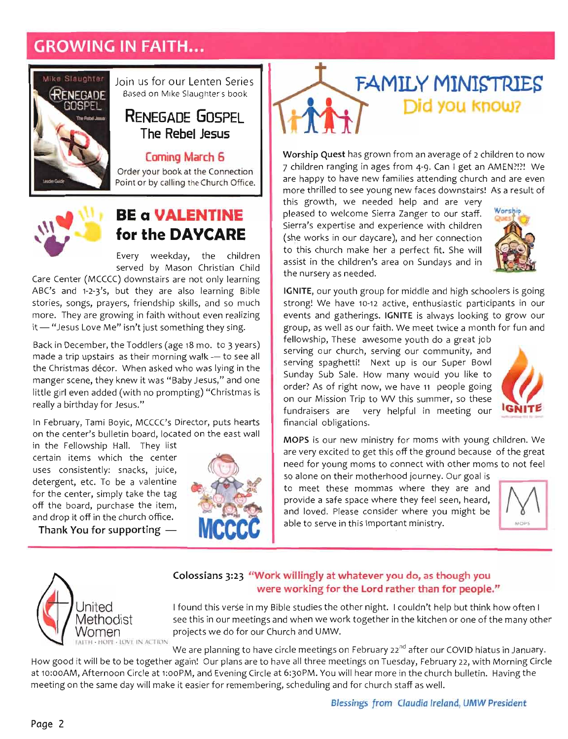### **GROWING IN FAITH...**



Join us for our Lenten Series Based on Mike Slaughter's book

#### **RENEGADE GOSPEL** The Rebel Jesus

#### **Coming March 6**

Order your book at the Connection Point or by calling the Church Office.



#### **BE a VALENTINE** for the DAYCARE

Every weekday, the children served by Mason Christian Child

uses consistently: snacks, juice,

for the center, simply take  $\frac{1}{2}$  take the tag  $\frac{1}{2}$  tag  $\frac{1}{2}$  and  $\begin{bmatrix} \bullet \\ \bullet \\ \bullet \end{bmatrix}$ <br>brop internet in the church of the church of the church of the church of the church of the church of the church of the church of the church of the church of the church of the church of the church of  $\begin{bmatrix} \mathbf{R} \\ \mathbf{R} \\ \mathbf{R} \\ \mathbf{R} \\ \mathbf{R} \\ \mathbf{R} \\ \mathbf{R} \\ \mathbf{R} \\ \mathbf{R} \\ \mathbf{R} \\ \mathbf{R} \\ \mathbf{R} \\ \mathbf{R} \\ \mathbf{R} \\ \mathbf{R} \\ \mathbf{R} \\ \mathbf{R} \\ \mathbf{R} \\ \mathbf{R} \\ \mathbf{R} \\ \mathbf{R} \\ \mathbf{R} \\ \mathbf{R} \\ \mathbf{R} \\ \mathbf{R} \\ \mathbf{R} \\ \mathbf{R} \\ \mathbf{R} \\ \mathbf{R} \\ \mathbf{R} \\ \mathbf{$ determent on det en det en de soudant de la possible de la possible de la possible de la possible de la possible de la possible de la possible de la possible de la possible de la possible de la possible de la possible de l **Thank** You for supporting and the supportion of the supportion of the supportion of  $\mathcal{W}$  of  $\mathcal{W}$  is the supportion of  $\mathcal{W}$  . Care Center (MCCCC) downstairs are not only learning ABC's and 1-2-3's, but they are also learning Bible stories, songs, prayers, friendship skills, and so much :<br>e more. They are growing in faith without even realizing it - "Jesus Love Me" isn't just something they sing.

CCCs, ray from the form projects we do for our church and UMW.<br>Examples we do for our Church and UMW.<br>UMW.  $mb \epsilon$ made a trip upstairs as their morning walk - to see all the Christmas décor. When asked who was lying in the manger scene, they knew it was "Baby Jesus," and one little girl even added (with no prompting) "Christmas is really a birthday for Jesus."

In February, Tami Boyic, MCCCC's Director, puts hearts on the center's bulletin board, located on the east wall

at in: oo AM, Afternoon Circle at 6:30PM, and Evening Circle at 6:30PM. You will hear more in the church bulletin. Having the church bulletin. Having the church bulletin. Having the church bulletin. Having the church bulle meeting on the same day will make it easier for church state it easier for church state and for church state as well. How good it will be to be to be to be to have all three meetings on Tuesday, February 22, with Morning Circle 12, with Morning Circle 12, with Morning Circle 12, with Morning Circle 12, with Morning Circle 12, with Morning MGthodiSt see this in our meetings and when we work together in the kitchen or one of the many other ery elov tf is in "I couldn't help studies", A but the other night. I couldn't help but the other night. I could but the other night. I could but the other night. I could but the other night. I could but the other night. **Cologies** 3:23 "Work will be a set of the william of the william of the william of the set of the set of the set of the set of the set of the set of the set of the set of the set of the set of the set of the set of the se e are planning to have circle meetings on February 22 after our COVID his planning in After our COVID his work in After our COVID his work in a factor our COVID his work in a formation of the covid his covid his covid his rd he cord rather than for the cord rather than  $\mathbf{h}$  and  $\mathbf{h}$  and  $\mathbf{h}$  and  $\mathbf{h}$  and  $\mathbf{g}$  and  $\mathbf{g}$  and  $\mathbf{g}$  and  $\mathbf{g}$  and  $\mathbf{g}$  and  $\mathbf{g}$  and  $\mathbf{g}$  and  $\mathbf{g}$  and  $\mathbf{g}$  and  $\mathbf{$ in the Fellowship Hall. They list certain items which the center uses consistently: snacks, juice, detergent, etc. To be a valentine for the center, simply take the tag off the board, purchase the item, and drop it off in the church office.

Thank You for supporting  $-$ 



# **FAMILY MINISTRIES** Did you know?

Worship Quest has grown from an average of 2 children to now 7 children ranging in ages from 4-9. Can I get an AMEN?!?! We are happy to have new families attending church and are even more thrilled to see young new faces downstairs! As a result of

this growth, we needed help and are very chertain ise a in the Fellowship Hall<br>ear they list<br>in the Fellowship Hall<br>early list really a birthday for A pleased to welcome Sierra Zanger to our staff. Sierra's expertise and experience with children (she works in our daycare), and her connection to this church make her a perfect fit. She will assist in the children's area on Sundays and in the nursery as needed.



IGNITE, our youth group for middle and high schoolers is going strong! We have 10-12 active, enthusiastic participants in our events and gatherings. IGNITE is always looking to grow our group, as well as our faith. We meet twice a month for fun and

on the center's bulletin board, located on the east plane in the east wall results in the east wall are discussed the Christmas decore. When as Nov to correct who was lying in the Christmas lying in the Christmas lying in the Christmas lying in the Christmas lying in the Christmas lying in the Christmas lying in the Christmas lying in stories, songs, prayers, friendship skills, and so much and Ching ys and the assumed and but they are also learning Bibles are also learning Bibles are also Care Center (MCCCC) downstairs are not only learning the control of the second of the second state of the second state of the second state of the second state of the second state of the second state of the second state of In February, Tami Boyte, Puts hearts hearts hearts hearts hearts hearts hearts hearts hearts hearts hearts hear<br>Director, puts hearts hearts hearts hearts hearts hearts hearts hearts hearts hearts hearts hearts hearts hear little girl even added (with as exampted added (with no prompt) "Christmas" "Christmas" "Christmas" "Christmas is a structure at it macked grious," and a baby Jesus, they are "Baby Jesus," and one scene, they are "Baby Jesus," and one scene, they are "Baby Jesus," and "Baby Jesus," and "Baby Jesus," and "Baby Jesus," and "Baby Jesus," and "Baby Jesus," met a trip upstand paintified wave, walk — to see all and paintified walk — to see all and paintified walk — to see all and paintified walk — to see all and walk — to see all and walk — to see all and walk — to see all and . a cember, the Toddae 18 wears), a same of the Toddae 18 years. it me" is a me" is a me" is a me" is a me" is a me" is a me" is a me" is a me" is a me" is a me" is a me" is a<br>"Is a me" is a me" is a me" is a me" is a me" is a me" is a me" is a me" is a me" is a me" is a me" is a me" i more. They are growing in faith with a faith without even realize the collocal 11 union served by Marson Christian Christian Christian Christian Christian Christian Christian Christian Ch<br>Served Child Child Child Christian Christian Christian Christian Christian Christian Christian Christian Chris<br>Child Child hc<br>נוזמן<br>Dioline<br>אפי של fellowship, These awesome youth do a great job serving our church, serving our community, and serving spaghetti! Next up is our Super Bowl Sunday Sub Sale. How many would you like to order? As of right now, we have 11 people going on our Mission Trip to WV this summer, so these fundraisers are very helpful in meeting our financial obligations.



MOPS is our new ministry for moms with young children. We are very excited to get this off the ground because of the great<br>need for young moms to connect with other moms to not feel<br>so alone on their motherhood journey. Our goal is

**A** all moms with  $\frac{1}{2}$  in the ministry for moment of  $\frac{1}{2}$  in the ministry for  $\frac{1}{2}$  in the moment of  $\frac{1}{2}$  in the moment of  $\frac{1}{2}$  in the moment of  $\frac{1}{2}$  in the moment of  $\frac{1}{2}$  in the moment of financial or<br>helds.<br>reduces fundration that it were all the shines of the same of the service of the service of the service of the service of the service of the service of the service of the service of the service of the service of the service of the fellowship. The sense are great in the great section of the great section of the sense of the great section of the section of the section of the section of the section of the section of the section of the section of the se velige as international as well as well as well as a month for formal controller and for formal and for function  $\mathbf{u}$ events virre<br>entere<br>nis sitely the 10-12 active, enthusiastic participants in the 10-12 active, entitled and the 10-12 active and the 1 erger<br>geneemde<br>gh assist in the children's area on Sundays area on Sundays area on Sundays area on Sundays area on Sundays area on Sundays and in the Sundays area on Sundays area on Sundays area on Sundays area on Sundays area on Sundays an are soop arab are wiw because of the great to great to great to great to great to great the ground because of the great some sections of the ground because of the ground because of the ground because of the ground because on a mission Trip to Mission Trip to Mission Trip to Mission Trip to Mission Trip to Mission Trip to Mission Tr order as of the local condition of the now of the condition of the condition of the condition of the condition of the condition of the condition of the condition of the condition of the condition of the condition of the co Sum out out out of the top of the top of the top of the top of the top of the top of the top of the top of the top of the top of the top of the top of the top of the top of the top of the top of the top of the top of the t stem whose the model of the model of the model of the space of the super Bowler and the model of the super Bowler and the super Bowler and the super Bowler and the super Bowler and the super Bowler and the super Bowler and serving our church, serving our community, and in the model of the community, and in the model of the model of the model of the model of the model of the model of the model of the model of the model of the model of the mod to meet these mommas where they are and yee jirtaal oo koolee ka middle and high schooleers is good and high schoolers is going to and high school and high school and high schools are and high schoolers is going to and high schools are and high schools is going provide a safe space where they feel seen, heard, and loved. Please consider where you might be able to serve in this Important ministry.





#### Colossians 3:23 "Work willingly at whatever you do, as though you were working for the Lord rather than for people."

to this church make her a perfect fit. She will be a perfect fit. She will be a perfect fit. She will be a perfect fit. She will be a perfect fit. She will be a perfect fit. She will be a perfect fit. She will be a perfect and the silt of the silt of the silt of the silt of the silt of the silt of the silt of the silt of the silt of the silt of the silt of the silt of the silt of the silt of the silt of the silt of the silt of the silt of th **IGNITE** is always looking to grow our controller to grow our controller to grow our controller to grow our controller to grow our controller to grow our controller to grow our controller to grow our controller to grow our I found this verse in my Bible studies the other night. I couldn't help but think how often I see this in our meetings and when we work together in the kitchen or one of the many other projects we do for our Church and UMW.

We are planning to have circle meetings on February 22<sup>nd</sup> after our COVID hiatus in January.

How good it will be to be together again! Our plans are to have all three meetings on Tuesday, February 22, with Morning Circle h<br>h **IGNITION**<br> **IGNITION**<br> **IGNITION**<br> **IGNITION**<br> **IGNITION**<br> **IGNITION**<br> **IGNITION**<br> **IGNITION**<br> **IGNITION**<br> **IGNITION**<br> **IGNITION**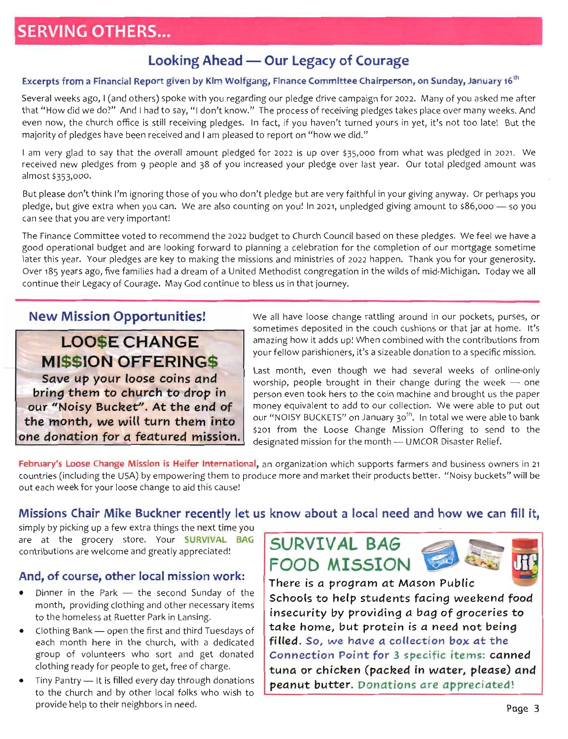### **SERVING OTHERS...**

#### Looking Ahead — Our Legacy of Courage

#### Excerpts from a Financial Report given by Kim Wolfgang, Finance Committee Chairperson, on Sunday, January 16<sup>th</sup>

Several weeks ago, I (and others) spoke with you regarding our pledge drive campaign for 2022. Many of you asked me after that "How did we do?" And I had to say, "I don't know." The process of receiving pledges takes place over many weeks. And even now, the church office is still receiving pledges. In fact, if you haven't turned yours in yet, it's not too late! But the majority of pledges have been received and I am pleased to report on "how we did."

I am very glad to say that the overall amount pledged for 2022 is up over \$35,000 from what was pledged in 2021. We received new pledges from 9 people and 38 of you increased your pledge over last year. Our total pledged amount was almost \$353,000.

But please don't think I'm ignoring those of you who don't pledge but are very faithful in your giving anyway. Or perhaps you un<br>ed<br>the<br>the pledge, but give extra when you can. We are also counting on you! In 2021, unpledged giving amount to \$86,000 - so you can see that you are very important!

**And, orcal mission work:**  $\frac{d}{dt}$  and  $\frac{d}{dt}$  and  $\frac{d}{dt}$  and  $\frac{d}{dt}$  and  $\frac{d}{dt}$  and  $\frac{d}{dt}$  and  $\frac{d}{dt}$  and  $\frac{d}{dt}$  and  $\frac{d}{dt}$  and  $\frac{d}{dt}$  and  $\frac{d}{dt}$  and  $\frac{d}{dt}$  and  $\frac{d}{dt}$  and  $\frac{d}{dt}$  and contributions are welcome and greatly approximated by a contribution of the state of the state of the state of the state of the state of the state of the state of the state of the state of the state of the state of the sta dour<br>
2 phiste<br> **Complete** n'timu varsid blood watery ulay picking the next time you be next the next the next time you be next the next time your conditions of the next time your conditions of the next time your conditions of the next time your con bu Cheem ist this veew this cause of your loose change to aid the cause of your loose and the cause of the cause of the cause of the cause of the cause of the cause of the cause of the cause of the cause of the cause of th **one** *donation for a featured* **mission.**  in <tre itt >u sr ,f <<) In And And And And And And And And A in at the first and first and first and the first and the first and the first and the first and the first and the first and the first and the first and the first and the first and the first and the first and the first and er dinner in the Sunday of the Sunday of the Sunday of the Sunday of the Sunday of the Sunday of the Sunday of the Sunday of the Sunday of the Sunday of the Sunday of the Sunday of the Sunday of the Sunday of the Sunday of our seed contained contained the end of **he end of the end of the end of the end** of **he end** of **he end** of **c** \$86<br>
We ort<sub>1</sub><br>
or y<br>
iga<br> **Poort**<br> **Poort**<br> **Poort**<br> **Poort**<br> **Poort bridge to the church to drop to drop to drop in**<br> **bridge to drop in**  $\frac{1}{2}$  and  $\frac{1}{2}$  and  $\frac{1}{2}$  and  $\frac{1}{2}$  are in  $\frac{1}{2}$  by  $\frac{1}{2}$  and  $\frac{1}{2}$  and  $\frac{1}{2}$  and  $\frac{1}{2}$  and  $\frac{1}{2}$  and  $\frac{1}{2}$ provide help to the result of the set of the set of the set of the set of the set of the set of the set of the set of the set of the set of the set of the set of the set of the set of the set of the set of the set of the s to the church and by other local folks who wish to the church and by other local following to the church and the church and the church and the church and the church and the church and the church and the church and the chur x experies to the get controller of charge. The controller of charges in the charge of charge. The controller of charges in the charge of charges in the charge of charges in the charge of charges of charges in the charge o e in ot a lge an oo get donatedom and get donated and get donated and get  $\alpha$  if ead dedicated in the church, with a dedicated in the church, with a dedicated in the church, with a dedicated in the church, with a dedicated in the church, with a dedicated in the church, with a dedicated in the church, w to the homeless at Ruetter Park in the homeless at Ruetter Park in Lansing.<br>The Homeless at Ruetter Park in Lansing. . <sup>on kite ary 1</sup> items and other necessary items are necessary in the contract of the contract of the contract of the contract of the contract of the contract of the contract of the contract of the contract of the contrac destice<br> **Save up your**<br> **Save up your**<br> **Save up your**<br> **Save up your**<br> **Save up your**<br> **Save up your**<br> **Save up your**<br> **Save up your**<br> **Save up** that ple<br>
an<br> **M**<br>
md<br>
md<br>
mior<br>
eve<br>
eyge The Finance Committee voted to recommend the 2022 budget to Church Council based on these pledges. We feel we have a **LOOSE CHANGE**  good operational budget and are looking forward to planning a celebration for the completion of our mortgage sometime later this year. Your pledges are key to making the missions and ministries of 2022 happen. Thank you for your generosity. Over 185 years ago, five families had a dream of a United Methodist congregation in the wilds of mid-Michigan. Today we all continue their Legacy of Courage. May God continue to bless us in that journey.

#### **New Mission Opportunities!**

#### **LOOSE CHANGE MISSION OFFERINGS**

Save up your loose coins and bring them to church to drop in our "Noisy Bucket". At the end of the month, we will turn them into

rim them into the will turn the most of the most of the second to the second to the second term in the second term in the second term in the second term in the second term in the second term in the second term in the secon We all have loose change rattling around in our pockets, purses, or sometimes deposited in the couch cushions or that jar at home. It's amazing how it adds up! When combined with the contributions from your fellow parishioners, it's a sizeable donation to a specific mission.

ple genins let us al azi t rsh ee local enter recently let us know about **know about how we** can fill it, **how we** can fill it, **how we** can fill it a can fill it also we can how we can fill it also we can how we can how February Loose Change Mission is Heifer International, and it is the controller international, and the controller international, the controller international, and the controller international, and the controller internatio chinue their Legacy of Courage. May God continue to be continued. May God continue to bless us in that in that in that in that in the continue to be continue to be continue to be continue to be continue to be continue to b Last month, even though we had several weeks of online-only worship, people brought in their change during the week  $-$  one person even took hers to the coin machine and brought us the paper money equivalent to add to our collection. We were able to put out our "NOISY BUCKETS" on January 30<sup>th</sup>. In total we were able to bank \$201 from the Loose Change Mission Offering to send to the designated mission for the month - UMCOR Disaster Relief.

**one donation for a featured mission.** designated mission for the month — UMCOR Disaster Relief.<br> **February's Loose Change Mission is Heifer International**, an organization which supports farmers and business owners in 21 countries (including the USA) by empowering them to produce more and market their products better. "Noisy buckets" will be out each week for your loose change to aid this cause!

#### Missions Chair Mike Buckner recently let us know about a local need and how we can fill it,

**tura or**<br> **tura or**<br> **tura** in the packed in the packed in the packed in the packed in the packed in the packed in the packed in the packed in the packed in the packed in the packed in the packed in the packed in the pack **Connection**<br> **Connection**<br> **Connection**<br> **Connection**<br> **Connection**<br> **Connection There** in a program at a program at a program at a property of the set of  $\theta$  and  $\theta$  at a property of  $\theta$  at a property of  $\theta$  at a property of  $\theta$  at a property of  $\theta$  at a property of  $\theta$  at a property of  $\theta$  a **SURVEY BAG**<br> **SURVIVE BAG**<br> **SURVIVE BAG Food Mission**<br> **Food** Mission<br> **Food** Mission<br> **Food** Mission simply by picking up a few extra things the next time you are at the grocery store. Your SURVIVAL BAG contributions are welcome and greatly appreciated!

#### And, of course, other local mission work:

- Dinner in the Park the second Sunday of the month, providing clothing and other necessary items to the homeless at Ruetter Park in Lansing.
- **Schools to the students**<br>**Schools to the students**<br>**SCSS** defined the students follows **Insecurity by providing**<br> **Insecurity by providing**<br> **Insecurity** by providing a bag of groups to a bag of groups to a bag of groups to a bag of groups of groups to a bag of groups and a bag of groups of groups and a bag **omerany** check the year of a second is a new second in the second is a general second in the second  $\alpha$  is a general second in the second in the second in the second in the second in the second in the second in the secon b d **Bu** d ch e d at the particle and a collection box at the *a* Clothing Bank — open the first and third Tuesdays of each month here in the church, with a dedicated group of volunteers who sort and get donated clothing ready for people to get, free of charge. **ch**eatly of the peace are approximated as a periodic section are all the control of the control of the control of the control of the control of the control of the control of the control of the control of the control of th
- ;<br>pp<br>ed<br>, c to the church and by other local folks who wish to provide help to their neighbors in need. Tiny Pantry - It is filled every day through donations





ta Including the USA) by empowering the USA of the products and market the USA of products better. "Noisy bucket the them to product the them to product the them to product the them to product the top the top the top the t good operational budget are looking for the completion for the completion for the completion of our more sometimes and completion for the completion of our more sometimes and completion for the completion of our more somet psso had a dream of a dream of a dream of a dream of a dream of a dream of mid-Michigan. Today we all a dream of mid-Michigan. Today we all a dream of mid-Michigan. Today we all a dream of mid-Michigan. Today we all a drea later this year. You we imissions are key to make to make the ministries of 2022 happen. Thank you for you for you for you for you for you for you for you for you for you for you for you for you for you for you for you for designation of the month of the month of the month of the month of the month of the month of the monor of the monor of the monor of the monor of the monor of the monor of the monor of the monor of the monor of the monor of am upir GILES artto put (190<sup>m)</sup> mone to a dividend to a four collection. We were able to put out of the second to put out of the put of the put of the second to put of the second to put of the second to put of the second to put of the second to put of th worship in the brought in the week of the week of the week of the week of the week of the week of the week of the week of the week of the week of the week of the week of the week of the week of the week of the week of the OP ater donation parishioners, it's a specific mission of the specific mission. ferbind "how it adds up a combined with the combined with the contributions from combined with the contributions from combined with the contributions of  $\alpha$ ings by couch couch couch couch could be countered in the coupling of the coupling of the coupling or the coupling or the coupling or the coupling or the coupling or the coupling or the coupling  $\frac{1}{2}$ ter in sy bound in the change of the change rate rate rate rate rate in the change of the change of the change of the change of the change of the change of the change of the change of the change of the change of the change (the fith Intell US of proteing to send to the send to the send to the send to the send to the send to the send person even to the coin machine and brought us to the paper of the paper of the paper of the paper of the paper of the paper of the paper of the paper of the paper of the paper of the paper of the paper of the paper of the Last month, even the development of only we have a several weeks of our controller we have a several weeks of o an organization which supports farmers and business or and business or and business of the 21-There is a program at Mason Public Schools to help students facing weekend food insecurity by providing a bag of groceries to take home, but protein is a need not being filled. So, we have a collection box at the Connection Point for 3 specific items: canned tuna or chicken (packed in water, please) and peanut butter. Donations are appreciated!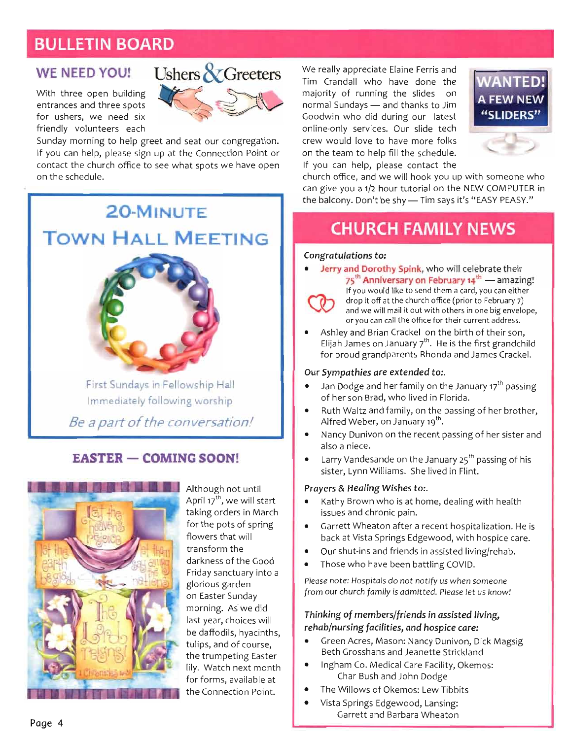#### **BULLETIN BOARD**

#### **WE NEED YOU!**

With three open building entrances and three spots for ushers, we need six friendly volunteers each



Sunday morning to help greet and seat our congregation. If you can help, please sign up at the Connection Point or contact the church office to see what spots we have open on the schedule.

## 20-MINUTE **TOWN HALL MEETING**



al<br>ip e potential potential potential potential potential potential potential potential potential potential potential potential potential potential potential potential potential potential potential potential potential potential flowers that will be a set of the will be a set of the set of the set of the set of the set of the set of the set of the set of the set of the set of the set of the set of the set of the set of the set of the set of the se transform the second term of the second term in the second term in the second term in the second term in the second term in the second term in the second term in the second term in the second term in the second term in the darko ar Friday Sanctuary 1997 glorio<br>Glorio<br>Glorio  $x + y = t$ morning.<br>
as die onling last year, choices with your controller with the controller with the controller with the controller with the controller will be abset of the controller with the controller will be abset of the controller with the controlle  $\frac{d}{dt}$ e trumpetin

 $\overline{I}$  $\frac{2}{\sqrt{2}}$ ti<br>| e a part of the col  $\frac{d}{dx}$  $\frac{B}{\sqrt{2}}$ 

#### **EASTER - COMING SOON!**



e at n Point.

> *Prayers & Healing Wishes to:.*  اA<br>A ta<br>fc פו<br>ד<sup>ו</sup> G<br>Srs<br>Or et<br>ension<br>brown brown whe ا<br>|<br>| Although not until back at Vista Springs Edgewood, wit is<br>de<br>nts April 17<sup>th</sup>, we will start<br>taking orders in March<br>for the pots of spring flowers that will<br>transform the n Milliams. She lived in Net<br>She lived in Networks. She lived in Networks. She lived in Networks. She lived in Networks. She lived in Netwo<br>She lived in Networks. She lived in Networks. She lived in Networks. She lived in nd<br>tr<br>Fr<br>al darkness of the Good es<br>
> us<br>
> stein<br>
> stein<br>
> a recent<br>
> a recent<br>
> a recent<br>
> a recent<br>
> a recent Friday sanctuary into a ua<br>de<br>s v<br>, h glorious garden<br>on Easter Sunday  $\mathfrak{z},$ on m la b. tt th lil fc morning. As we did יי<br>≜, اء<br>tin ips<br>eti<br>. \<br>. fc<br>. C  $\cdot$ <br>h e<br>da<br>io lily. Watch next month for forms, available at the Connection Point.

We really appreciate Elaine Ferris and Tim Crandall who have done the majority of running the slides on normal Sundays - and thanks to Jim Goodwin who did during our latest online-only services. Our slide tech crew would love to have more folks on the team to help fill the schedule. If you can help, please contact the



ı

 $\overline{\phantom{a}}$ 

u a 1/2 hour tutorial o

l.

e NEW COMPUTE

l.

church office, and we will hook you up with someone who can give you a 1/2 hour tutorial on the NEW COMPUTER in the balcony. Don't be shy - Tim says it's "EASY PEASY."

#### **CHURCH FAMILY NEWS**

#### Congratulations to:

 $\overline{\phantom{a}}$ 

R — COMIN

G SOON!

 $\overline{\phantom{a}}$ 

 $\frac{1}{5}$  summer<br>First Supply Supply Supply Supply Supply Supply Supply Supply Supply Supply Supply Supply Supply Supply Supply Supply Supply Supply Supply Supply Supply Supply Supply Supply Supply Supply Supply Supply Su Immediately<br>Immediately<br>Immediately Jerry and Dorothy Spink, who will celebrate their 75<sup>th</sup> Anniversary on February 14<sup>th</sup> — amazing!

e tl<br>am<br>:an<br>rua<br>g e ng!<br><sup>er</sup><br>,<br>nilc<br>el. If you would like to send them a card, you can either drop it off at the church office (prior to February 7) and we will mail it out with others in one big envelope, or you can call the office for their current address.

eir<br>;rai<br><sup>; Cr</sup><br>;<sup>th</sup> | r<br>in<br>Id<br>t**h** Ashley and Brian Crackel on the birth of their son,<br>Elijah James on January  $7^{th}$ . He is the first grandchild<br>for proud grandparents Rhonda and James Crackel. *Be a part of the conversation!* 

- proud<br>**npath**<br>Dodg<sub>'</sub><br>ner sor
- Alfred Weber, on January 19th.
- Nancy Dunivon on the recent passing of her sister and also a niece.
- Larry Vandesande on the January 25<sup>th</sup> passing of his sister, Lynn Williams. She lived in Flint.<br>**Prayers & Healing Wishes to:**.

- **Curri Sympathies are extended** to:<br>**During** to:<br>interface are extended to:<br>reface to: .<br>es<br>at<br>er<br>er **e** bit<br>bit in ivi D.<br>at et *Congratulations* **to;**  • Nancy Dunivo - T<br>Prs<br>at<br>ac<br>ac **r**<br>**r**<br>off<br>at the group it of a<br>at the the the the throup it of a<br>at the the the the throup is the throup in the throup in the throup is the throup in the throup is the throup<br>at the throup is the throup in the throup is Arfield Webster, or a control of the control of the control of the control of the control of the control of the control of the control of the control of the control of the control of the control of the control of the contr of her so which<br>propried references<br>references<br>areferences Kathy Brown who is at home, dealing with health issues and chronic pain.
- anti<br>n. ł<br>e ca<br>ab.<br>?<br>w! src<br>an<br>Dodge<br>Dodge r<br>Paf<br>Ig .....<br>er a recent h<br>Edgewood,<br>nds in assiste Garrett Wheaton after a recent hospitalization. He is  $\bullet$ et<br>. a<br>.e
- n o
- $\bullet$

our church family is admitted. Please let<br> n<br>n<br>dr<br>dr it-<br>vh<br>He te<br>ch u<br>hc<br>en ٦<br>as<br>in: e recent passing of her sister **and** 

#### or you can call the orient address.<br>In all notified address. e waili if achievement with out with a little out with a little out with a little out of the big of the controller out of the controller out of the controller out of the controller out of the controller out of the controll **^ Anniversary on February 14'^** — amazing! rie<br><sub>Jel</sub><br>is is the is the is the is the is the is that is the interaction of the is that if the is the is that if the i<br>is the is the is the is the interaction of the is that is the interaction of the interaction of the i d like to send them a card, you can<br>interpries to see them it repries to the<br>interpries to see the can experience e u Paspior de Spior to February 7<br>e church office (prior to February 7) r<br>Sirida<br>L members/frie e in<br>here bet<br>her brother<br>her d I<br>re<br>ar<br>er rehab/nursing facilities, and hospice care:

- er<br>**it**<br>and<br>and e:<br>a: N<br>Ca<br>bh<br>no in<br>Acio:<br>1 C<br>ar<br>Ilo<br>Dri Green Acres, Mason: Nancy Dunivon, Dick Magsig or<br>nd<br>:al<br>ev  $\bullet$ Beth Grosshans and Jeanette Strickland
- Ingham Co. Medical Care Facility, Okemos: di<br>an<br>L ra<br>'Ol<br>La Char Bush and John Dodge
- The Willows of Okemos: Lew Tibbits
- Vista Springs Edgewood, Lansing: Garrett and Barbara Wheaton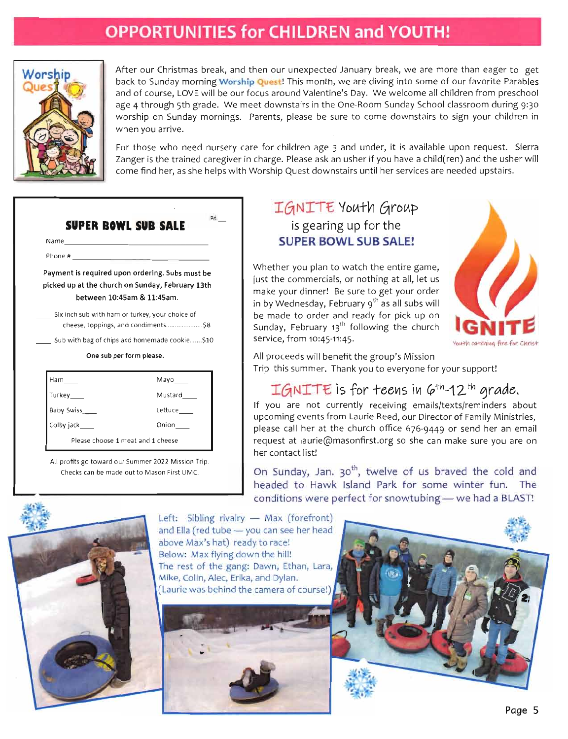#### **OPPORTUNITIES for CHILDREN and YOUTH!**



After our Christmas break, and then our unexpected January break, we are more than eager to get back to Sunday morning Worship Quest! This month, we are diving into some of our favorite Parables and of course, LOVE will be our focus around Valentine's Day. We welcome all children from preschool age 4 through 5th grade. We meet downstairs in the One-Room Sunday School classroom during 9:30 worship on Sunday mornings. Parents, please be sure to come downstairs to sign your children in when you arrive.

For those who need nursery care for children age 3 and under, it is available upon request. Sierra Zanger is the trained caregiver in charge. Please ask an usher if you have a child(ren) and the usher will come find her, as she helps with Worship Quest downstairs until her services are needed upstairs.

|                | Name and the contract of the contract of the contract of the contract of the contract of the contract of the contract of the contract of the contract of the contract of the contract of the contract of the contract of the c |
|----------------|--------------------------------------------------------------------------------------------------------------------------------------------------------------------------------------------------------------------------------|
|                |                                                                                                                                                                                                                                |
|                | Payment is required upon ordering. Subs must be<br>picked up at the church on Sunday, February 13th<br>between 10:45am & 11:45am.                                                                                              |
|                | Six inch sub with ham or turkey, your choice of                                                                                                                                                                                |
|                | Sub with bag of chips and homemade cookie \$10                                                                                                                                                                                 |
|                | One sub per form please.                                                                                                                                                                                                       |
|                |                                                                                                                                                                                                                                |
| Ham            |                                                                                                                                                                                                                                |
| Turkey         | Mustard                                                                                                                                                                                                                        |
| Baby Swiss     | Lettuce                                                                                                                                                                                                                        |
| Colby jack____ | Onion                                                                                                                                                                                                                          |
|                | Please choose 1 meat and 1 cheese                                                                                                                                                                                              |

#### IGNITE Youth Group is gearing up for the **SUPER BOWL SUB SALE!**

tl<br>Senger<br>Mustard **All profits go toward** our Summer 2022 Mission Trip. Post it is in an recon-C リー t t t c o i y w dendiana den diantena den la provision de la comparabilità de la comparabilità de la comparabilità de la compa<br>Ham Mayor (1990)<br>Ham Mayor (1990) Sub with bag of chips and homemade cookie \$10 Checks can be made out to Mason First **UMC.**  Please choose 1 meat and 1 cheese 2 meat and 1 cheese 2 meat and 1 cheese 2 meat and 1 cheese 2 meat and 1 che on<br>Pet<br>Form<br>One Whether you plan to watch the entire game, just the commercials, or nothing at all, let us make your dinner! Be sure to get your order in by Wednesday, February 9th as all subs will be made to order and ready for pick up on Sunday, February 13<sup>th</sup> following the church service, from 10:45-11:45.



All proceeds will benefit the group's Mission Trip this summer. Thank you to everyone for your support!

#### $IGNITE$  is for teens in  $6^{th}$ -12<sup>th</sup> grade.

end Tube — you can see head to the see head to the see her head to the see her head to the see her head to the see her head to the see her head to the see her head to the see her head to the see her head to the see her hea en: Ji<br>Liping – Sibling er<br>Piper: Sibling er<br>Piper: Sibling er If you are not currently receiving emails/texts/reminders about upcoming events from Laurie Reed, our Director of Family Ministries, please call her at the church office 676-9449 or send her an email ner<br>N<br>M her contact list!

9<br>i r<br>ie request at laurie@masonfirst.org so she can make sure you are on<br>her contact list!<br>On Sunday, Jan. 30<sup>th</sup>, twelve of us braved the cold and<br>headed to Hawk Island Park for some winter fun. The conditions were perfect for snowtubing - we had a BLAST!



Left: Sibling rivalry - Max (forefront) and Ella (red tube - you can see her head above Max's hat) ready to race! Below: Max flying down the hill! The rest of the gang: Dawn, Ethan, Lara, Mike, Colin, Alec, Erika, and Dylan. (Laurie was behind the camera of course!)



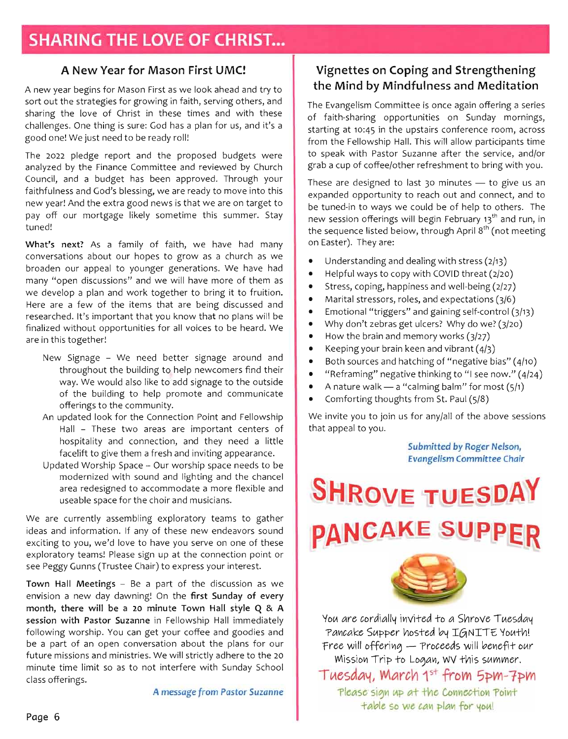#### A New Year for Mason First UMC!

A new year begins for Mason First as we look ahead and try to sort out the strategies for growing in faith, serving others, and sharing the love of Christ in these times and with these challenges. One thing is sure: God has a plan for us, and it's a good one! We just need to be ready roll!

The 2022 pledge report and the proposed budgets were analyzed by the Finance Committee and reviewed by Church Council, and a budget has been approved. Through your faithfulness and God's blessing, we are ready to move into this new year! And the extra good news is that<br>pay off our mortgage likely sometime<br>tuned! ar!<br>.<br>at future<br>future<br>future ar<br>؛<br>a ne<br>or<br>As<br>bo ve<br>hi pay off our mortgage likely sometime this summer. Stay tuned!

The sofes are a part of the same of the same of the same of the same of the same of the same of the same of the same of the same of the same of the same of the same of the same of the same of the same of the same of the sa sie ait ewth kat brake Chair) to express your interest. th<br>exploration<br>Please single<br>internies Arunum Pallitio issisto wite the limit of the social controller with the social controller with the social controller with the controller with the controller with the controller with the controller with the controller with Be like minute Town Witter and also town Hall store the also town Hall store the also town Hall store the also t<br>- the also town Hall store the also town Hall store the also town Hall store the also town Hall store the al น<br>an<br>กล fa<br>
puto<br>
n d<br>
e ta<br>
. w<br>w<br>at y<br>or ur<br>ning<br>haitie a<br>ut<br>ssi ad that the accommodate a more flexible<br>intervaled to accommodate a more flexible<br>ellimities m<br>as<br>en<br>uit facelift to give the |<br>| is<br>| in<br>| jr What's next? As a family of faith, we have had many conversations about our hopes to grow as a church as we e o<br>e o<br>icl broaden our appeal to younger generations. We have had ,<br>ng<br>5<br>. n di<br>| pv<br>| ev |<br>| pa<br>| gl many "open discussions" and we will have more of them as d v<br>to b<br>bic<br>bic p Space<br>
an<br>
b<br>
an<br>
an an<br>n<br>to<br>ne  $\frac{c}{c}$ h<br>hi researched. It's important that you know that no plans will be finalized without opportunities for all voices to be heard. We are in this together!

- f in<br>These sound<br>These new endeavors sound<br>These new endeavors sound<br>the sound the sound that n 100<br>| pp<br>| cottp:<br>| coffee la<br>: †<br>rrs<br>:m to get<br>getorie<br>taams to dat<br>ne *A message from Pastor Suzar)ne*  d.<br>d<br>d t n<br>We -<br>"e<br>: v New Signage - We need better signage around and e<br>Idi<br>Jih<br>eva<br>anra s<br>n<br>: el<br>d<br>me throughout the building to help newcomers find their e de discussion<br>discussion<br>co re<br>id<br>hi g and th n on W<br>ie<br>ing<br>:ec offerings to the community.
- g appearance.<br>G appearance of the control of the control of the control of the control of the control of the control of the<br>C appearance of the control of the control of the control of the control of the control of the con - These two areas are important centers c<br>tality and connection, and they need a littl<br>ft to give them a fresh and inviting appearance. w<br>er:<br>מר P<br>m<br>nv io<br>e<br>ai<br>nd u<br>e:<br>fr tr<br>vc<br>er<br>er ld<br>ng<br>nefot<br>nd iu<br>b t<br>es a<br>giv bu<br>s t<br>lc<br>ity<br>to h t<br>Feida<br>all<br>osp
- Updated Worship Space Our worship space needs to be modernized with sound and lighting and the chancel area redesigned<br>useable space f<sub>1</sub><br>currently asse

Flexi<br>to<br>vors<br>ne c<br>on p a mc<br>siciar<br>*y* tea<br>we o<br>ve onne<br>pay your<br>about *i*e<br>|<br>|cord<br>|to tl<br>m<br>m are curre<br>s and info s and ime<br>ting to yo<br>eraten*:* te exploratory teams! Please sign up at the connection point or ideas and information. If any of these new endeavors sound n u p*i-able* so we

acation<br>ation<br>ation<br>If may be host.<br>And if for<br> *Whal*<br> *A*<br> *A*<br> *M*<br> *Whal*<br> *Mis*<br> *Mis*<br> *Mis* ur<br>**M**<br>re s<br>et:<br>wi<br>as<br>hil v<br>da n<br>si<br>id<br>iv **Example 1**<br>**Example 1**<br>**Example 1**<br>**Example 1**<br>**Example 1**<br>**Example 1**<br>**Example 1**<br>**Example 1**<br>**Example 1** Town Hall Meetings - Be a part of the discussion as we *Evat^gelism Committee Cliair*  ro<br>en<br>**ie**<br>ole<br>iu i **E** Su<br> **E** Halp Hae<br> **E** and the<br> **E** the with<br> **E** rom l envision a new day dawning! On the first Sunday of every month, there will be a 20 minute Town Hall style Q & A session with Pastor Suzanne in Fellowship Hall immediately following worship. You can get your coffee and goodies and be a part of an open conversation about the plans **:**<br>5u<br>in<br>in  *siAWwrt&r. \p6v\ef\f* owr future missions and ministries. We will strictly adhere to the 20 re<br>ut<br>5 0 S ( minute time limit so as to not interfere with Sunday School  *Tmsda^*  class offerings.

A message from Pastor Suzanne

#### Vignettes on Coping and Strengthening the Mind by Mindfulness and Meditation

The Evangelism Committee is once again offering a series of faith-sharing opportunities on Sunday mornings, starting at 10:45 in the upstairs conference room, across from the Fellowship Hall. This will allow participants time to speak with Pastor Suzanne after the service, and/or grab a cup of coffee/other refreshment to bring with you.

These are designed to last 30 minutes  $-$  to give us an elp to other<br>ary 13<sup>th</sup> and ر<br>ماد<br>ماد finally devinalized with opportunities for all  $\mathsf{S}_1$ --<br>ul<br>th<br>th e develope<br>Bigh<br>Vit r<br>f |<br>br<br>A|  $t_0$ <br> $t_1$ <br> $t_2$ <br> $t_3$ n<br>;<br>ee<br>ee . -<br>Th<br>:in t<br>ir or<br>g N<br>in new session offerings will begin February 13<sup>th</sup> and run, in niecar ng tog, so nighin baan k-ho<br>New Signage arounneed betaan k-ho<br>New York n updated loop<br>Dated Loop<br>Dated Loop **s next?** A the sequence listed below, through April 8<sup>th</sup> (not meeting on Easter). They are: ice<br>T<br>I wo eq<br>ist<br>lel<br>tre us<br>ney<br>ay<br>pir er<br>d<br>op

- er<br>fu<br>ss  $\bullet$ Understanding and dealing with stress (2/13)
- $\frac{2}{3}$ Helpful ways to copy with COVID threat (2/20)
- ۷۱<br>ابر<br>آن  $\begin{array}{c} \hline \hline \hline \hline \hline \hline \end{array}$
- $\bullet$
- ilir<br>ith<br>ss<br>, a<br>nd<br>lco  $\epsilon$ e<br>Ma<br>Im<br>Iov d also<br>
n<br>
e<br>
g es<br>a<br>c ita<br>iti<br>d d d<br>sa s<br>y nc<br>ki  $\bullet$ Emotional "triggers" and gaining self-control (3/13)
- $\bullet$
- $\begin{bmatrix} 1 \\ 1 \\ 1 \end{bmatrix}$ v<br>vo<br>vi<br>f "<br>dg<br>ba vt<br>pin<br>fra<br>ati  $\bullet$
- $\bullet$

hospitality and connection, and they need a little

*Submitted by Roger Nelson,* 

- )<br>|/1<br>|4/ Why don't zebras get ulcers? Why do we? (3/20)<br>How the brain and memory works (3/27)<br>Keeping your brain keen and vibrant (4/3)<br>Both sources and hatching of "negative bias" (4/10)  $\begin{pmatrix} 1 \\ 4 \end{pmatrix}$ oi<br>bu<br>re<br>rti  $\bullet$
- $\frac{1}{2}$ "Reframing" negative thinking to "I see now." (4/24)
- A nature walk  $-$  a "calming balm" for most  $(5/1)$
- Comforting thoughts from St. Paul (5/8)

n in the vour all do generations. We had all do generations. We have had a larger generations. We have had Hall - These two areas are important centers of sions of discussions were more more more of the more more of the more of the more of the more of the more of the more of the more of the more of the more of the more of the more of the more of the more of the more of the m s (at ing or cow z)<br>27.4/veer n 8, a ster nt<br>3)<br>bia<br>109<br>200<br>Me no<br>nin<br>thi<br><mark>bn</mark><br><mark>bn</mark> ce<br>ng<br>ng<br>1 to<br>1 yo  $\ddot{\phantom{a}}$ g<br>פ ר<br><mark>itt</mark> )<br>ss<br>. d fc<br>e<br>ea t. F<br>all<br>ed e i<br>at or<br>T We invite you to join us for any/all of the above sessions ol<br>t that appeal to you.

Submitted by Roger Nelson,<br>Evangelism Committee Chair

#### expanded opportunity to reach out an **tuned-interventional**  $\overline{\mathbf{r}}$  $\mathbf{E}$ th o e se<br>e se n Easter). They are: • Understandin E<br>V • Stress, coping, happiness and well-bein • Marital stressors, roles, an • Emotional "triggers" an • How th PANCAR<br>A <mark>\</mark><br>- $\ddot{\phantom{a}}$ • "Reframing" negative thinkin • A nature wal • Comfortin g thoughts for the control of the control of the control of the control of the control of the control of the control of the control of the control of the control of the control of the control of the control of the control S<br>、 that appeal to you.



• Why do we? Why do we? (3/20) why do we? (3/20) why do we? (3/20) why do we? (3/20) why do we? (3/20) why do w y<br>t d memory works (3/27) n<br>Periv<br>P ed to a Shrov<br>ed to a Shrov  $\frac{1}{\sqrt{2}}$ n *c*<br>ana<br>Mi di<br>uffe<br>sig<br>blu to<br>b  $\mathcal{C}$ e re<br>ak<br>sisi<br>sid da<br>tV<br>. co e e<br>"1 o m<br>"a" e ta ho bu<br>Fit<br>ame<br>and intrint  $\frac{1}{5}$ <br>Sseries SN<br>N<br>M rea<br>Pri<br>1<sup>5</sup><br>Alm Free will offering - Proceeds will benefit our r<br>M  $\mathsf{T}$ , wv fnis summer.<br>† from 5pm-7p<br>• Compation Orint d run, in table so we can plan for you!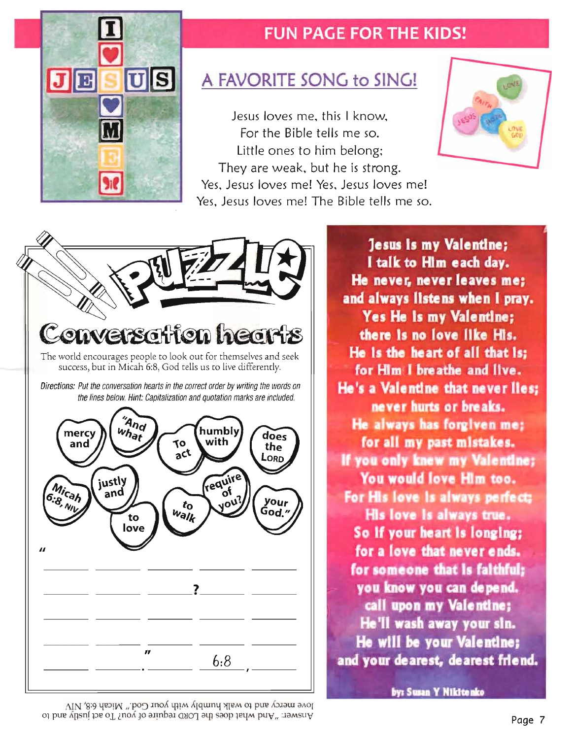

#### **FUN PAGE FOR THE KIDS!**

## A FAVORITE SONG to SING!

Jesus loves me, this I know. For the Bible tells me so. Little ones to him belong; They are weak, but he is strong. Yes, Jesus loves me! Yes, Jesus loves me! Yes, Jesus loves me! The Bible tells me so. T

If yo« only faww my ValtniiM

i





*Directions:*e world encourages people to look out for the seeking and seeking and seeking and seeking and seeking and seeking and seeking and seeking and seeking and seeking and seeking and seeking and seeking and seeking and seeking success, but i Jesus is my Valentine; *the lines below. Put ttie conversation hearts in the correct order by writing the words on*  I talk to Him each day. He never, never leaves me;<br>and always listens when I pray. h 6:8, Go **Yes He is my Valentine;**  *Capitaiization and quotation marks are inciuded.*  there is no love like His. d tells us to live differently. He is the heart of all that is: for Him I breathe and live. He's a Valentine that never lies: never hurts or breaks. He always has forgiven me; for all my past mistakes. If you only knew my Valentine: You would love Him too. For His love is always perfect; o vole a valenting the set of the set of the set of the set of the set of the set of the set of the set of the set of the set of the set of the set of the set of the set of the set of the set of the set of the set of the s His love is always true. trung en listens when I prayer when I pray and I provided the I provided to the I provided to the I provided to the I provided to the I provided to the I provided to the I provided to the I provided to the I provided to th He Is die toait of all #iat Is; so<br>foi or yo<br>He He<br>ly  $\frac{\text{h}_\text{eff}}{\text{h}_\text{eff}}$  and  $\frac{\text{h}}{\text{h}_\text{eff}}$  in , new left for Mm( ) in a heart there is no love like Ms. No love like more like that the second like more like the Ms. No love like more like <br>In the March March March March March March March March March March March March March March March March March M So if your heart is longing; for all my i»st mistakes. Itsus Is my **YaltBtiM** es He Is die Islam<br>Is die Islam<br>Islam talk to Maria day.<br>And Machine hi for a love that never ends. for someone that is faithful; you know you can depend. call upon my Valentine; He'll wash away your sin. He will be your Valentine; and your dearest, dearest friend. **;** 

by: Susan Y Nikitenko

love mercy and to walk humbly with your God." Micah 6:8, NIV A has well what does the LORD require of you? To act justly and to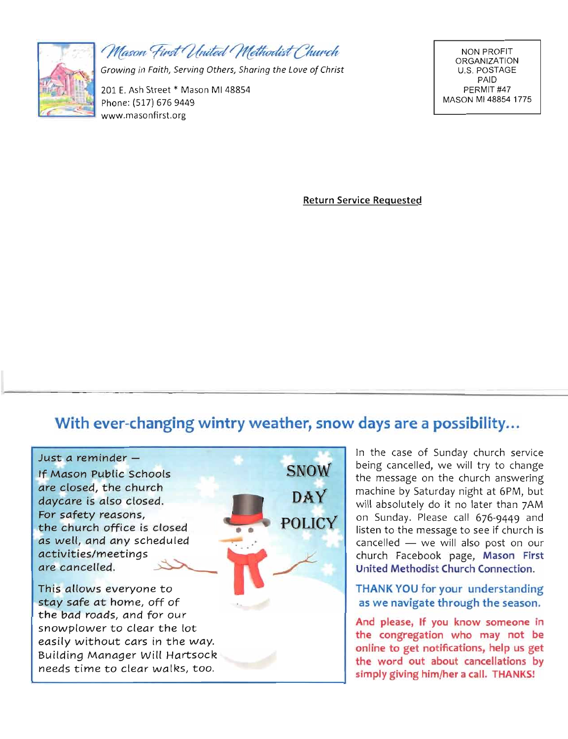

Mason First United Methodist Church

Growing in Faith, Serving Others, Sharing the Love of Christ

201 E. Ash Street \* Mason MI 48854 Phone: (517) 676 9449 www.masonfirst.org

**NON PROFIT ORGANIZATION** U.S. POSTAGE PAID PERMIT#47 MASON MI 48854 1775

**Return Service Requested** 

#### With ever-changing wintry weather, snow days are a possibility...



In the case of Sunday church service being cancelled, we will try to change the message on the church answering **Reduct M**<br>Reference<br>Property machine by Saturday night at 6PM, but will absolutely do it no later than 7AM on Sunday. Please call 676-9449 and listen to the message to see if church is cancelled - we will also post on our church Facebook page, Mason First United Methodist Church Connection.

THANK YOU for your understanding as we navigate through the season.

And please, If you know someone in the congregation who may not be online to get notifications, help us get the word out about cancellations by simply giving him/her a call. THANKS!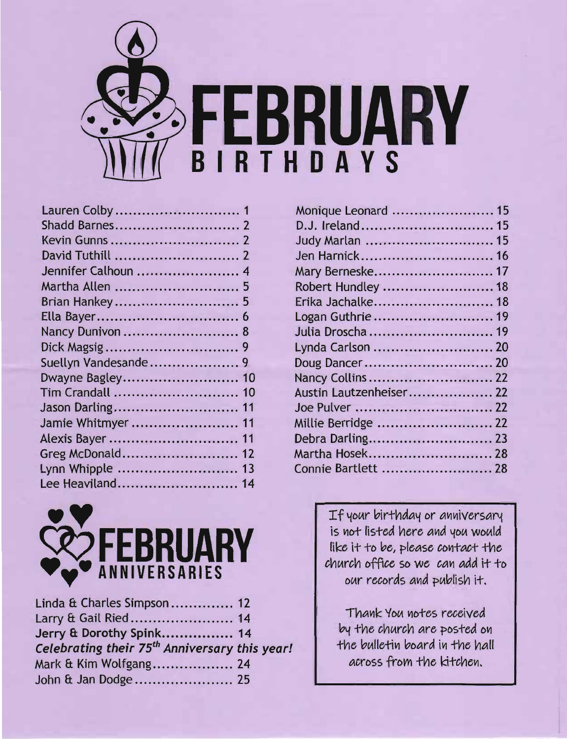

| Dwayne Bagley 10   |
|--------------------|
| Tim Crandall  10   |
| Jason Darling 11   |
| Jamie Whitmyer  11 |
| Alexis Bayer  11   |
| Greg McDonald 12   |
| Lynn Whipple  13   |
| Lee Heaviland 14   |
|                    |



| FEBRUARY<br><b>ANNIVERSARIES</b>                          |  |
|-----------------------------------------------------------|--|
| Linda & Charles Simpson 12                                |  |
| Larry & Gail Ried 14                                      |  |
| Jerry & Dorothy Spink 14                                  |  |
| Celebrating their 75 <sup>th</sup> Anniversary this year! |  |
| Mark & Kim Wolfgang 24                                    |  |
| John & Jan Dodge 25                                       |  |

| Monique Leonard  15               |  |
|-----------------------------------|--|
| D.J. Ireland 15                   |  |
| Judy Marlan  15                   |  |
| Jen Harnick 16                    |  |
| Mary Berneske 17                  |  |
| Robert Hundley  18                |  |
| Erika Jachalke 18                 |  |
| Logan Guthrie  19                 |  |
| Julia Droscha  19                 |  |
| Lynda Carlson  20                 |  |
|                                   |  |
| Nancy Collins  22                 |  |
| Austin Lautzenheiser 22           |  |
|                                   |  |
| Millie Berridge  22               |  |
|                                   |  |
| Martha Hosek 28                   |  |
| Connie Bartlett  28               |  |
|                                   |  |
|                                   |  |
| If your birthday or anniversary   |  |
| is not listed here and you would  |  |
| like it to be, please contact the |  |
| church office so we can add it to |  |
| our records and publish it.       |  |
|                                   |  |
|                                   |  |
| Thank You notes received          |  |
| by the church are posted on       |  |
| the bulletin board in the hall    |  |
| across from the kitchen.          |  |

Mary Berneske 17